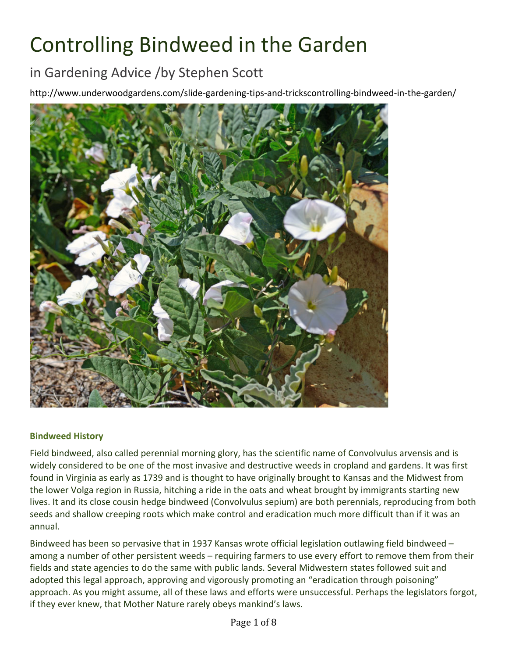# Controlling Bindweed in the Garden

## in Gardening Advice /by Stephen Scott

http://www.underwoodgardens.com/slide-gardening-tips-and-trickscontrolling-bindweed-in-the-garden/



#### **Bindweed History**

Field bindweed, also called perennial morning glory, has the scientific name of Convolvulus arvensis and is widely considered to be one of the most invasive and destructive weeds in cropland and gardens. It was first found in Virginia as early as 1739 and is thought to have originally brought to Kansas and the Midwest from the lower Volga region in Russia, hitching a ride in the oats and wheat brought by immigrants starting new lives. It and its close cousin hedge bindweed (Convolvulus sepium) are both perennials, reproducing from both seeds and shallow creeping roots which make control and eradication much more difficult than if it was an annual.

Bindweed has been so pervasive that in 1937 Kansas wrote official legislation outlawing field bindweed  $$ among a number of other persistent weeds – requiring farmers to use every effort to remove them from their fields and state agencies to do the same with public lands. Several Midwestern states followed suit and adopted this legal approach, approving and vigorously promoting an "eradication through poisoning" approach. As you might assume, all of these laws and efforts were unsuccessful. Perhaps the legislators forgot, if they ever knew, that Mother Nature rarely obeys mankind's laws.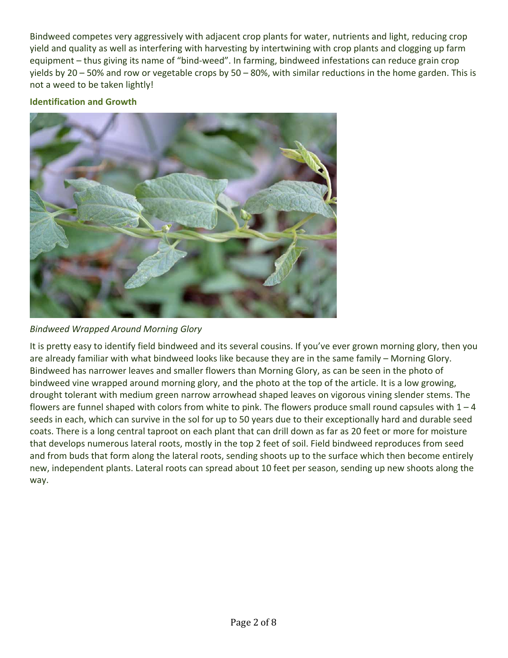Bindweed competes very aggressively with adjacent crop plants for water, nutrients and light, reducing crop yield and quality as well as interfering with harvesting by intertwining with crop plants and clogging up farm equipment – thus giving its name of "bind-weed". In farming, bindweed infestations can reduce grain crop yields by 20 – 50% and row or vegetable crops by 50 – 80%, with similar reductions in the home garden. This is not a weed to be taken lightly!

### **Identification and Growth**



*Bindweed Wrapped Around Morning Glory*

It is pretty easy to identify field bindweed and its several cousins. If you've ever grown morning glory, then you are already familiar with what bindweed looks like because they are in the same family – Morning Glory. Bindweed has narrower leaves and smaller flowers than Morning Glory, as can be seen in the photo of bindweed vine wrapped around morning glory, and the photo at the top of the article. It is a low growing, drought tolerant with medium green narrow arrowhead shaped leaves on vigorous vining slender stems. The flowers are funnel shaped with colors from white to pink. The flowers produce small round capsules with  $1 - 4$ seeds in each, which can survive in the sol for up to 50 years due to their exceptionally hard and durable seed coats. There is a long central taproot on each plant that can drill down as far as 20 feet or more for moisture that develops numerous lateral roots, mostly in the top 2 feet of soil. Field bindweed reproduces from seed and from buds that form along the lateral roots, sending shoots up to the surface which then become entirely new, independent plants. Lateral roots can spread about 10 feet per season, sending up new shoots along the way.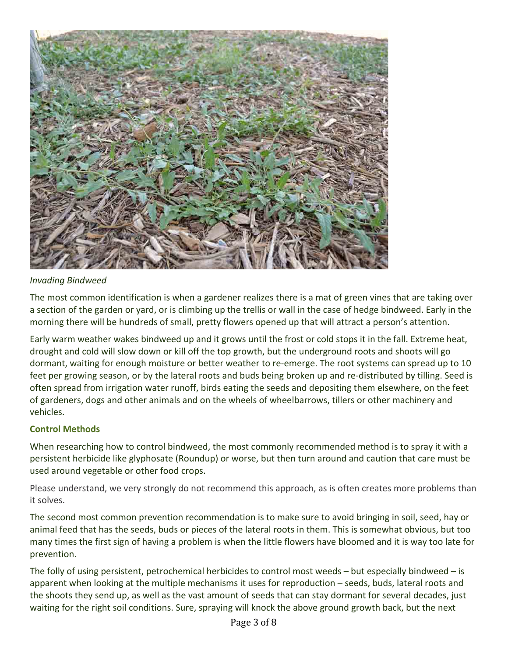

#### *Invading Bindweed*

The most common identification is when a gardener realizes there is a mat of green vines that are taking over a section of the garden or yard, or is climbing up the trellis or wall in the case of hedge bindweed. Early in the morning there will be hundreds of small, pretty flowers opened up that will attract a person's attention.

Early warm weather wakes bindweed up and it grows until the frost or cold stops it in the fall. Extreme heat, drought and cold will slow down or kill off the top growth, but the underground roots and shoots will go dormant, waiting for enough moisture or better weather to re-emerge. The root systems can spread up to 10 feet per growing season, or by the lateral roots and buds being broken up and re-distributed by tilling. Seed is often spread from irrigation water runoff, birds eating the seeds and depositing them elsewhere, on the feet of gardeners, dogs and other animals and on the wheels of wheelbarrows, tillers or other machinery and vehicles.

#### **Control Methods**

When researching how to control bindweed, the most commonly recommended method is to spray it with a persistent herbicide like glyphosate (Roundup) or worse, but then turn around and caution that care must be used around vegetable or other food crops.

Please understand, we very strongly do not recommend this approach, as is often creates more problems than it solves.

The second most common prevention recommendation is to make sure to avoid bringing in soil, seed, hay or animal feed that has the seeds, buds or pieces of the lateral roots in them. This is somewhat obvious, but too many times the first sign of having a problem is when the little flowers have bloomed and it is way too late for prevention.

The folly of using persistent, petrochemical herbicides to control most weeds  $-$  but especially bindweed  $-$  is apparent when looking at the multiple mechanisms it uses for reproduction – seeds, buds, lateral roots and the shoots they send up, as well as the vast amount of seeds that can stay dormant for several decades, just waiting for the right soil conditions. Sure, spraying will knock the above ground growth back, but the next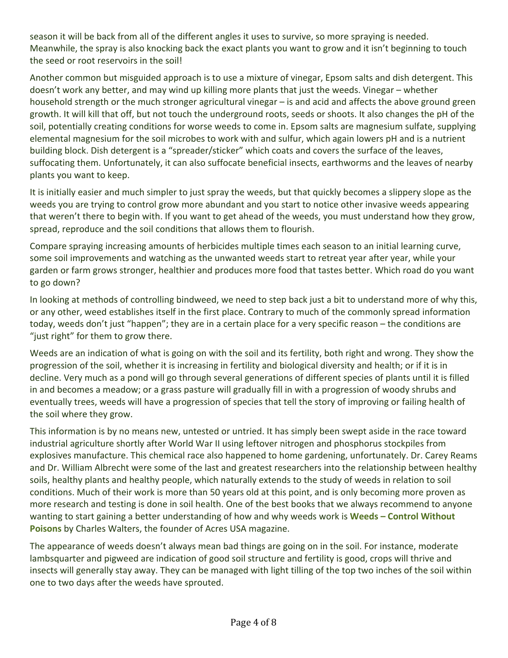season it will be back from all of the different angles it uses to survive, so more spraying is needed. Meanwhile, the spray is also knocking back the exact plants you want to grow and it isn't beginning to touch the seed or root reservoirs in the soil!

Another common but misguided approach is to use a mixture of vinegar, Epsom salts and dish detergent. This doesn't work any better, and may wind up killing more plants that just the weeds. Vinegar – whether household strength or the much stronger agricultural vinegar – is and acid and affects the above ground green growth. It will kill that off, but not touch the underground roots, seeds or shoots. It also changes the pH of the soil, potentially creating conditions for worse weeds to come in. Epsom salts are magnesium sulfate, supplying elemental magnesium for the soil microbes to work with and sulfur, which again lowers pH and is a nutrient building block. Dish detergent is a "spreader/sticker" which coats and covers the surface of the leaves, suffocating them. Unfortunately, it can also suffocate beneficial insects, earthworms and the leaves of nearby plants you want to keep.

It is initially easier and much simpler to just spray the weeds, but that quickly becomes a slippery slope as the weeds you are trying to control grow more abundant and you start to notice other invasive weeds appearing that weren't there to begin with. If you want to get ahead of the weeds, you must understand how they grow, spread, reproduce and the soil conditions that allows them to flourish.

Compare spraying increasing amounts of herbicides multiple times each season to an initial learning curve, some soil improvements and watching as the unwanted weeds start to retreat year after year, while your garden or farm grows stronger, healthier and produces more food that tastes better. Which road do you want to go down?

In looking at methods of controlling bindweed, we need to step back just a bit to understand more of why this, or any other, weed establishes itself in the first place. Contrary to much of the commonly spread information today, weeds don't just "happen"; they are in a certain place for a very specific reason – the conditions are "just right" for them to grow there.

Weeds are an indication of what is going on with the soil and its fertility, both right and wrong. They show the progression of the soil, whether it is increasing in fertility and biological diversity and health; or if it is in decline. Very much as a pond will go through several generations of different species of plants until it is filled in and becomes a meadow; or a grass pasture will gradually fill in with a progression of woody shrubs and eventually trees, weeds will have a progression of species that tell the story of improving or failing health of the soil where they grow.

This information is by no means new, untested or untried. It has simply been swept aside in the race toward industrial agriculture shortly after World War II using leftover nitrogen and phosphorus stockpiles from explosives manufacture. This chemical race also happened to home gardening, unfortunately. Dr. Carey Reams and Dr. William Albrecht were some of the last and greatest researchers into the relationship between healthy soils, healthy plants and healthy people, which naturally extends to the study of weeds in relation to soil conditions. Much of their work is more than 50 years old at this point, and is only becoming more proven as more research and testing is done in soil health. One of the best books that we always recommend to anyone wanting to start gaining a better understanding of how and why weeds work is Weeds - Control Without **Poisons** by Charles Walters, the founder of Acres USA magazine.

The appearance of weeds doesn't always mean bad things are going on in the soil. For instance, moderate lambsquarter and pigweed are indication of good soil structure and fertility is good, crops will thrive and insects will generally stay away. They can be managed with light tilling of the top two inches of the soil within one to two days after the weeds have sprouted.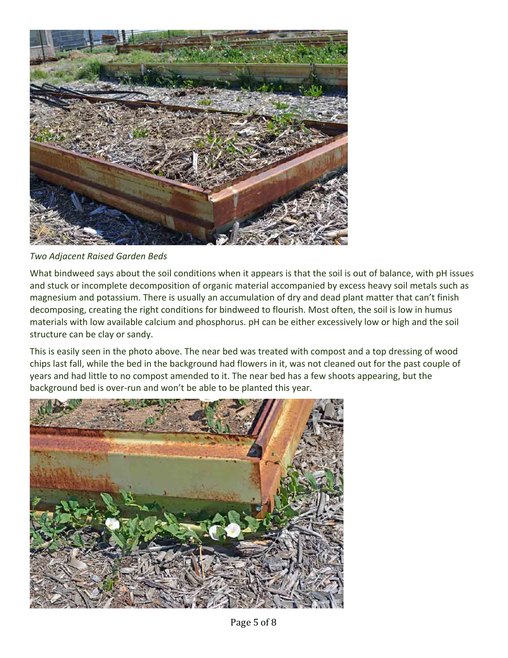

*Two Adjacent Raised Garden Beds*

What bindweed says about the soil conditions when it appears is that the soil is out of balance, with pH issues and stuck or incomplete decomposition of organic material accompanied by excess heavy soil metals such as magnesium and potassium. There is usually an accumulation of dry and dead plant matter that can't finish decomposing, creating the right conditions for bindweed to flourish. Most often, the soil is low in humus materials with low available calcium and phosphorus. pH can be either excessively low or high and the soil structure can be clay or sandy.

This is easily seen in the photo above. The near bed was treated with compost and a top dressing of wood chips last fall, while the bed in the background had flowers in it, was not cleaned out for the past couple of years and had little to no compost amended to it. The near bed has a few shoots appearing, but the background bed is over-run and won't be able to be planted this year.

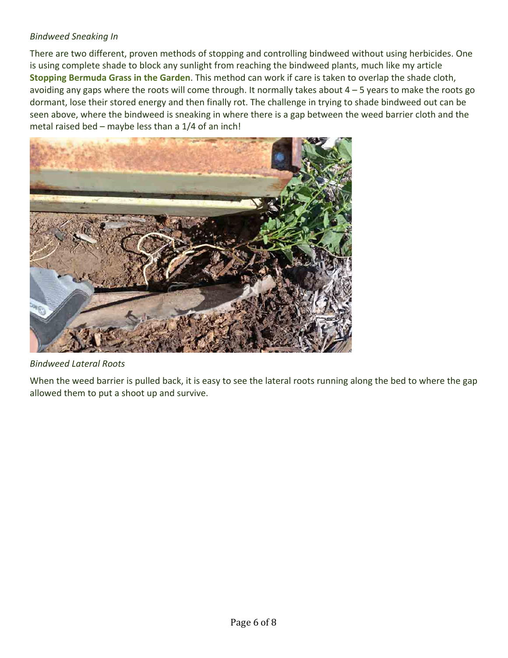### *Bindweed Sneaking In*

There are two different, proven methods of stopping and controlling bindweed without using herbicides. One is using complete shade to block any sunlight from reaching the bindweed plants, much like my article **Stopping Bermuda Grass in the Garden**. This method can work if care is taken to overlap the shade cloth, avoiding any gaps where the roots will come through. It normally takes about  $4 - 5$  years to make the roots go dormant, lose their stored energy and then finally rot. The challenge in trying to shade bindweed out can be seen above, where the bindweed is sneaking in where there is a gap between the weed barrier cloth and the metal raised bed – maybe less than a  $1/4$  of an inch!



*Bindweed Lateral Roots*

When the weed barrier is pulled back, it is easy to see the lateral roots running along the bed to where the gap allowed them to put a shoot up and survive.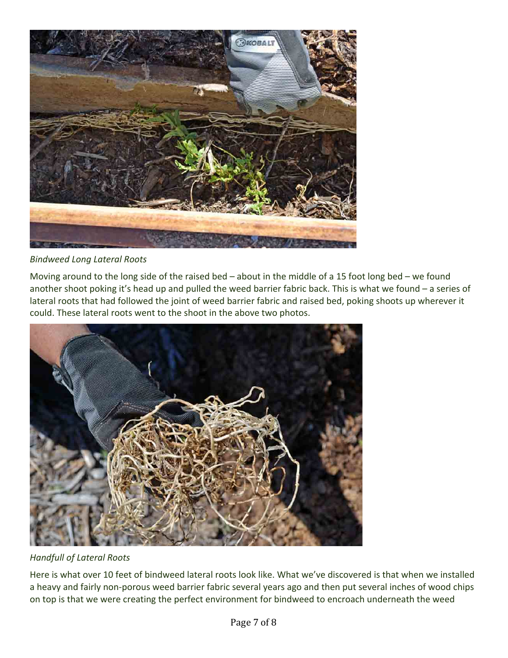

*Bindweed Long Lateral Roots*

Moving around to the long side of the raised bed – about in the middle of a 15 foot long bed – we found another shoot poking it's head up and pulled the weed barrier fabric back. This is what we found  $-$  a series of lateral roots that had followed the joint of weed barrier fabric and raised bed, poking shoots up wherever it could. These lateral roots went to the shoot in the above two photos.



*Handfull of Lateral Roots*

Here is what over 10 feet of bindweed lateral roots look like. What we've discovered is that when we installed a heavy and fairly non-porous weed barrier fabric several years ago and then put several inches of wood chips on top is that we were creating the perfect environment for bindweed to encroach underneath the weed